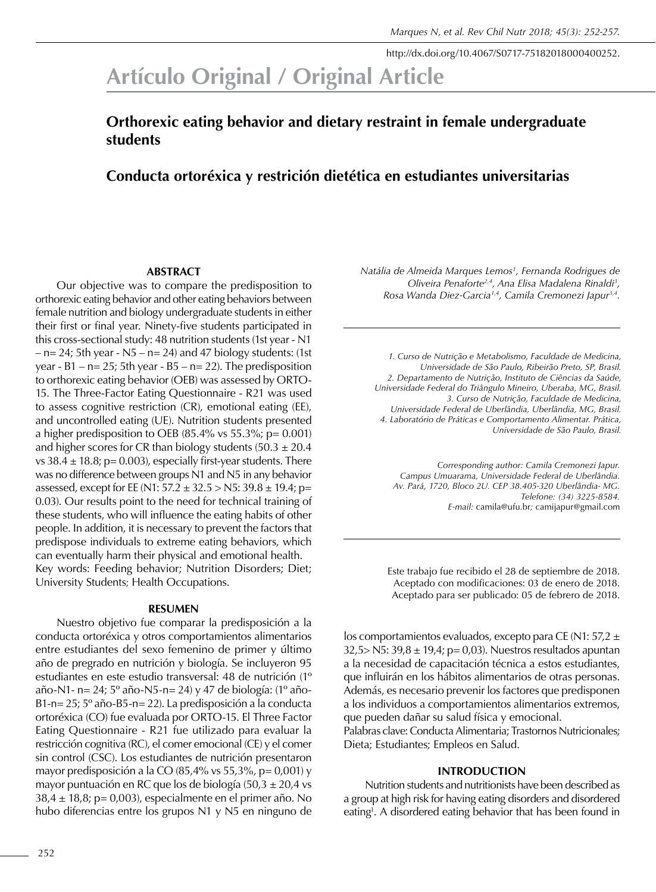http://dx.doi.org/10.4067/S0717-75182018000400252.

# **Artículo Original / Original Article**

# **Orthorexic eating behavior and dietary restraint in female undergraduate students**

# **Conducta ortoréxica y restrición dietética en estudiantes universitarias**

#### **ABSTRACT**

Our objective was to compare the predisposition to orthorexic eating behavior and other eating behaviors between female nutrition and biology undergraduate students in either their first or final year. Ninety-five students participated in this cross-sectional study: 48 nutrition students (1st year - N1  $-$  n= 24; 5th year - N5 – n= 24) and 47 biology students: (1st year - B1 –  $n= 25$ ; 5th year - B5 –  $n= 22$ ). The predisposition to orthorexic eating behavior (OEB) was assessed by ORTO-15. The Three-Factor Eating Questionnaire - R21 was used to assess cognitive restriction (CR), emotional eating (EE), and uncontrolled eating (UE). Nutrition students presented a higher predisposition to OEB (85.4% vs 55.3%; p= 0.001) and higher scores for CR than biology students  $(50.3 \pm 20.4)$ vs  $38.4 \pm 18.8$ ; p= 0.003), especially first-year students. There was no difference between groups N1 and N5 in any behavior assessed, except for EE (N1:  $57.2 \pm 32.5$  > N5:  $39.8 \pm 19.4$ ; p= 0.03). Our results point to the need for technical training of these students, who will influence the eating habits of other people. In addition, it is necessary to prevent the factors that predispose individuals to extreme eating behaviors, which can eventually harm their physical and emotional health. Key words: Feeding behavior; Nutrition Disorders; Diet; University Students; Health Occupations.

#### **RESUMEN**

Nuestro objetivo fue comparar la predisposición a la conducta ortoréxica y otros comportamientos alimentarios entre estudiantes del sexo femenino de primer y último año de pregrado en nutrición y biología. Se incluyeron 95 estudiantes en este estudio transversal: 48 de nutrición (1º año-N1- n= 24; 5º año-N5-n= 24) y 47 de biología: (1º año-B1-n= 25; 5º año-B5-n= 22). La predisposición a la conducta ortoréxica (CO) fue evaluada por ORTO-15. El Three Factor Eating Questionnaire - R21 fue utilizado para evaluar la restricción cognitiva (RC), el comer emocional (CE) y el comer sin control (CSC). Los estudiantes de nutrición presentaron mayor predisposición a la CO (85,4% vs 55,3%, p= 0,001) y mayor puntuación en RC que los de biología (50,3 ± 20,4 vs 38,4 ± 18,8; p= 0,003), especialmente en el primer año. No hubo diferencias entre los grupos N1 y N5 en ninguno de

252

*Natália de Almeida Marques Lemos1 , Fernanda Rodrigues de Oliveira Penaforte2,4, Ana Elisa Madalena Rinaldi3 , Rosa Wanda Diez-Garcia1,4, Camila Cremonezi Japur3,4.*

*1. Curso de Nutrição e Metabolismo, Faculdade de Medicina, Universidade de São Paulo, Ribeirão Preto, SP, Brasil. 2. Departamento de Nutrição, Instituto de Ciências da Saúde, Universidade Federal do Triângulo Mineiro, Uberaba, MG, Brasil. 3. Curso de Nutrição, Faculdade de Medicina, Universidade Federal de Uberlândia, Uberlândia, MG, Brasil. 4. Laboratório de Práticas e Comportamento Alimentar. Prática, Universidade de São Paulo, Brasil.*

*Corresponding author: Camila Cremonezi Japur. Campus Umuarama, Universidade Federal de Uberlândia. Av. Pará, 1720, Bloco 2U. CEP 38.405-320 Uberlândia- MG. Telefone: (34) 3225-8584. E-mail:* camila@ufu.br*;* camijapur@gmail.com

Este trabajo fue recibido el 28 de septiembre de 2018. Aceptado con modificaciones: 03 de enero de 2018. Aceptado para ser publicado: 05 de febrero de 2018.

los comportamientos evaluados, excepto para CE (N1: 57,2 ±  $32,5>$  N5:  $39,8 \pm 19,4$ ; p= 0,03). Nuestros resultados apuntan a la necesidad de capacitación técnica a estos estudiantes, que influirán en los hábitos alimentarios de otras personas. Además, es necesario prevenir los factores que predisponen a los individuos a comportamientos alimentarios extremos, que pueden dañar su salud física y emocional.

Palabras clave: Conducta Alimentaria; Trastornos Nutricionales; Dieta; Estudiantes; Empleos en Salud.

#### **INTRODUCTION**

Nutrition students and nutritionists have been described as a group at high risk for having eating disorders and disordered eating<sup>1</sup>. A disordered eating behavior that has been found in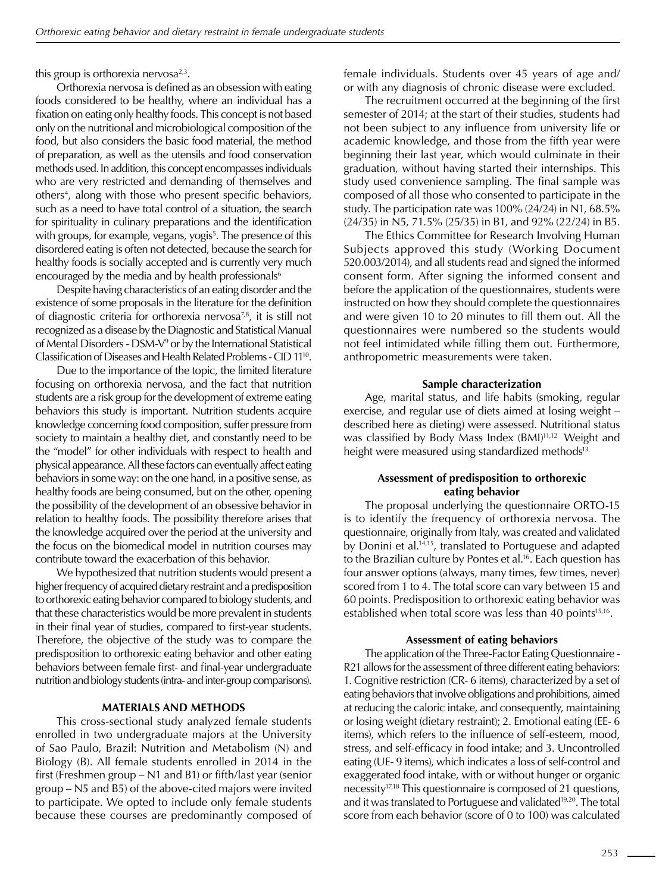this group is orthorexia nervosa $2,3$ .

Orthorexia nervosa is defined as an obsession with eating foods considered to be healthy, where an individual has a fixation on eating only healthy foods. This concept is not based only on the nutritional and microbiological composition of the food, but also considers the basic food material, the method of preparation, as well as the utensils and food conservation methods used. In addition, this concept encompasses individuals who are very restricted and demanding of themselves and others<sup>4</sup> , along with those who present specific behaviors, such as a need to have total control of a situation, the search for spirituality in culinary preparations and the identification with groups, for example, vegans, yogis<sup>5</sup>. The presence of this disordered eating is often not detected, because the search for healthy foods is socially accepted and is currently very much encouraged by the media and by health professionals<sup>6</sup>

Despite having characteristics of an eating disorder and the existence of some proposals in the literature for the definition of diagnostic criteria for orthorexia nervosa<sup>7,8</sup>, it is still not recognized as a disease by the Diagnostic and Statistical Manual of Mental Disorders - DSM-V9 or by the International Statistical Classification of Diseases and Health Related Problems - CID 1110.

Due to the importance of the topic, the limited literature focusing on orthorexia nervosa, and the fact that nutrition students are a risk group for the development of extreme eating behaviors this study is important. Nutrition students acquire knowledge concerning food composition, suffer pressure from society to maintain a healthy diet, and constantly need to be the "model" for other individuals with respect to health and physical appearance. All these factors can eventually affect eating behaviors in some way: on the one hand, in a positive sense, as healthy foods are being consumed, but on the other, opening the possibility of the development of an obsessive behavior in relation to healthy foods. The possibility therefore arises that the knowledge acquired over the period at the university and the focus on the biomedical model in nutrition courses may contribute toward the exacerbation of this behavior.

We hypothesized that nutrition students would present a higher frequency of acquired dietary restraint and a predisposition to orthorexic eating behavior compared to biology students, and that these characteristics would be more prevalent in students in their final year of studies, compared to first-year students. Therefore, the objective of the study was to compare the predisposition to orthorexic eating behavior and other eating behaviors between female first- and final-year undergraduate nutrition and biology students (intra- and inter-group comparisons).

#### **MATERIALS AND METHODS**

This cross-sectional study analyzed female students enrolled in two undergraduate majors at the University of Sao Paulo, Brazil: Nutrition and Metabolism (N) and Biology (B). All female students enrolled in 2014 in the first (Freshmen group – N1 and B1) or fifth/last year (senior group – N5 and B5) of the above-cited majors were invited to participate. We opted to include only female students because these courses are predominantly composed of

female individuals. Students over 45 years of age and/ or with any diagnosis of chronic disease were excluded.

The recruitment occurred at the beginning of the first semester of 2014; at the start of their studies, students had not been subject to any influence from university life or academic knowledge, and those from the fifth year were beginning their last year, which would culminate in their graduation, without having started their internships. This study used convenience sampling. The final sample was composed of all those who consented to participate in the study. The participation rate was 100% (24/24) in N1, 68.5% (24/35) in N5, 71.5% (25/35) in B1, and 92% (22/24) in B5.

The Ethics Committee for Research Involving Human Subjects approved this study (Working Document 520.003/2014), and all students read and signed the informed consent form. After signing the informed consent and before the application of the questionnaires, students were instructed on how they should complete the questionnaires and were given 10 to 20 minutes to fill them out. All the questionnaires were numbered so the students would not feel intimidated while filling them out. Furthermore, anthropometric measurements were taken.

#### **Sample characterization**

Age, marital status, and life habits (smoking, regular exercise, and regular use of diets aimed at losing weight – described here as dieting) were assessed. Nutritional status was classified by Body Mass Index (BMI)<sup>11,12</sup> Weight and height were measured using standardized methods<sup>13.</sup>

#### **Assessment of predisposition to orthorexic eating behavior**

The proposal underlying the questionnaire ORTO-15 is to identify the frequency of orthorexia nervosa. The questionnaire, originally from Italy, was created and validated by Donini et al.14,15, translated to Portuguese and adapted to the Brazilian culture by Pontes et al.<sup>16</sup>. Each question has four answer options (always, many times, few times, never) scored from 1 to 4. The total score can vary between 15 and 60 points. Predisposition to orthorexic eating behavior was established when total score was less than 40 points<sup>15,16</sup>.

#### **Assessment of eating behaviors**

The application of the Three-Factor Eating Questionnaire - R21 allows for the assessment of three different eating behaviors: 1. Cognitive restriction (CR- 6 items), characterized by a set of eating behaviors that involve obligations and prohibitions, aimed at reducing the caloric intake, and consequently, maintaining or losing weight (dietary restraint); 2. Emotional eating (EE- 6 items), which refers to the influence of self-esteem, mood, stress, and self-efficacy in food intake; and 3. Uncontrolled eating (UE- 9 items), which indicates a loss of self-control and exaggerated food intake, with or without hunger or organic necessity<sup>17,18</sup> This questionnaire is composed of 21 questions, and it was translated to Portuguese and validated<sup>19,20</sup>. The total score from each behavior (score of 0 to 100) was calculated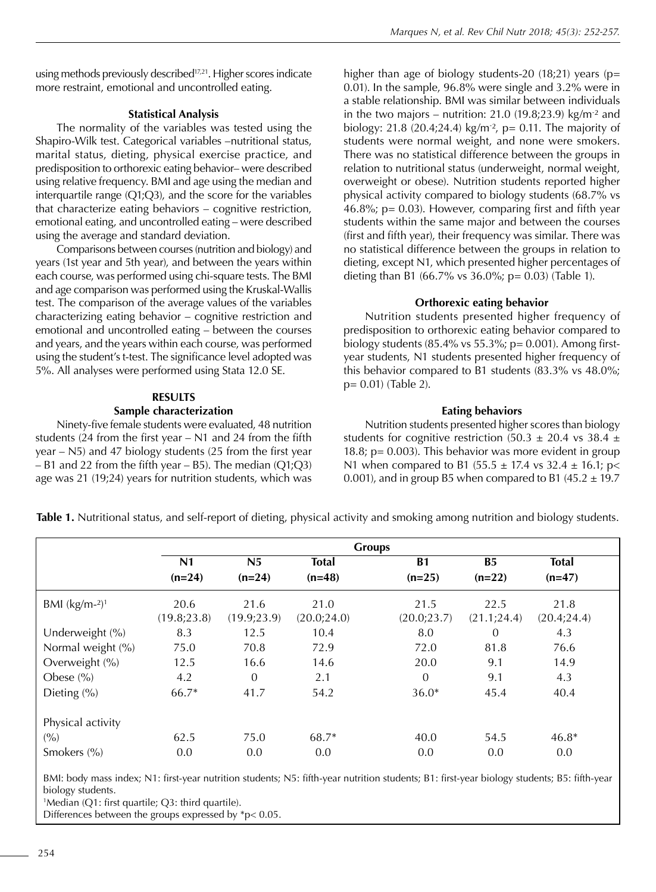using methods previously described<sup>17,21</sup>. Higher scores indicate more restraint, emotional and uncontrolled eating.

### **Statistical Analysis**

The normality of the variables was tested using the Shapiro-Wilk test. Categorical variables –nutritional status, marital status, dieting, physical exercise practice, and predisposition to orthorexic eating behavior– were described using relative frequency. BMI and age using the median and interquartile range (Q1;Q3), and the score for the variables that characterize eating behaviors – cognitive restriction, emotional eating, and uncontrolled eating – were described using the average and standard deviation.

Comparisons between courses (nutrition and biology) and years (1st year and 5th year), and between the years within each course, was performed using chi-square tests. The BMI and age comparison was performed using the Kruskal-Wallis test. The comparison of the average values of the variables characterizing eating behavior – cognitive restriction and emotional and uncontrolled eating – between the courses and years, and the years within each course, was performed using the student's t-test. The significance level adopted was 5%. All analyses were performed using Stata 12.0 SE.

## **RESULTS Sample characterization**

Ninety-five female students were evaluated, 48 nutrition students (24 from the first year – N1 and 24 from the fifth year – N5) and 47 biology students (25 from the first year  $- B1$  and 22 from the fifth year  $- B5$ ). The median (Q1;Q3) age was 21 (19;24) years for nutrition students, which was higher than age of biology students-20  $(18;21)$  years (p= 0.01). In the sample, 96.8% were single and 3.2% were in a stable relationship. BMI was similar between individuals in the two majors – nutrition:  $21.0$  (19.8;23.9) kg/m<sup>-2</sup> and biology: 21.8 (20.4;24.4) kg/m- ², p= 0.11. The majority of students were normal weight, and none were smokers. There was no statistical difference between the groups in relation to nutritional status (underweight, normal weight, overweight or obese). Nutrition students reported higher physical activity compared to biology students (68.7% vs 46.8%;  $p = 0.03$ ). However, comparing first and fifth year students within the same major and between the courses (first and fifth year), their frequency was similar. There was no statistical difference between the groups in relation to dieting, except N1, which presented higher percentages of dieting than B1 (66.7% vs  $36.0\%$ ; p= 0.03) (Table 1).

# **Orthorexic eating behavior**

Nutrition students presented higher frequency of predisposition to orthorexic eating behavior compared to biology students (85.4% vs 55.3%; p= 0.001). Among firstyear students, N1 students presented higher frequency of this behavior compared to B1 students (83.3% vs 48.0%; p= 0.01) (Table 2).

# **Eating behaviors**

Nutrition students presented higher scores than biology students for cognitive restriction (50.3  $\pm$  20.4 vs 38.4  $\pm$ 18.8; p= 0.003). This behavior was more evident in group N1 when compared to B1 (55.5  $\pm$  17.4 vs 32.4  $\pm$  16.1; p< 0.001), and in group B5 when compared to B1  $(45.2 \pm 19.7)$ 

|                   |                | <b>Groups</b>  |              |              |              |              |  |  |  |  |
|-------------------|----------------|----------------|--------------|--------------|--------------|--------------|--|--|--|--|
|                   | N <sub>1</sub> | N <sub>5</sub> | <b>Total</b> | B1           | <b>B5</b>    | <b>Total</b> |  |  |  |  |
|                   | $(n=24)$       | $(n=24)$       | $(n=48)$     | $(n=25)$     | $(n=22)$     | $(n=47)$     |  |  |  |  |
| BMI $(kg/m-2)^1$  | 20.6           | 21.6           | 21.0         | 21.5         | 22.5         | 21.8         |  |  |  |  |
|                   | (19.8; 23.8)   | (19.9;23.9)    | (20.0; 24.0) | (20.0; 23.7) | (21.1; 24.4) | (20.4; 24.4) |  |  |  |  |
| Underweight (%)   | 8.3            | 12.5           | 10.4         | 8.0          | $\Omega$     | 4.3          |  |  |  |  |
| Normal weight (%) | 75.0           | 70.8           | 72.9         | 72.0         | 81.8         | 76.6         |  |  |  |  |
| Overweight (%)    | 12.5           | 16.6           | 14.6         | 20.0         | 9.1          | 14.9         |  |  |  |  |
| Obese $(\% )$     | 4.2            | $\Omega$       | 2.1          | $\Omega$     | 9.1          | 4.3          |  |  |  |  |
| Dieting $(\% )$   | $66.7*$        | 41.7           | 54.2         | $36.0*$      | 45.4         | 40.4         |  |  |  |  |
| Physical activity |                |                |              |              |              |              |  |  |  |  |
| (9/0)             | 62.5           | 75.0           | $68.7*$      | 40.0         | 54.5         | $46.8*$      |  |  |  |  |
| Smokers $(\% )$   | 0.0            | 0.0            | 0.0          | 0.0          | 0.0          | 0.0          |  |  |  |  |

**Table 1.** Nutritional status, and self-report of dieting, physical activity and smoking among nutrition and biology students.

BMI: body mass index; N1: first-year nutrition students; N5: fifth-year nutrition students; B1: first-year biology students; B5: fifth-year biology students.

1 Median (Q1: first quartile; Q3: third quartile).

Differences between the groups expressed by \*p< 0.05.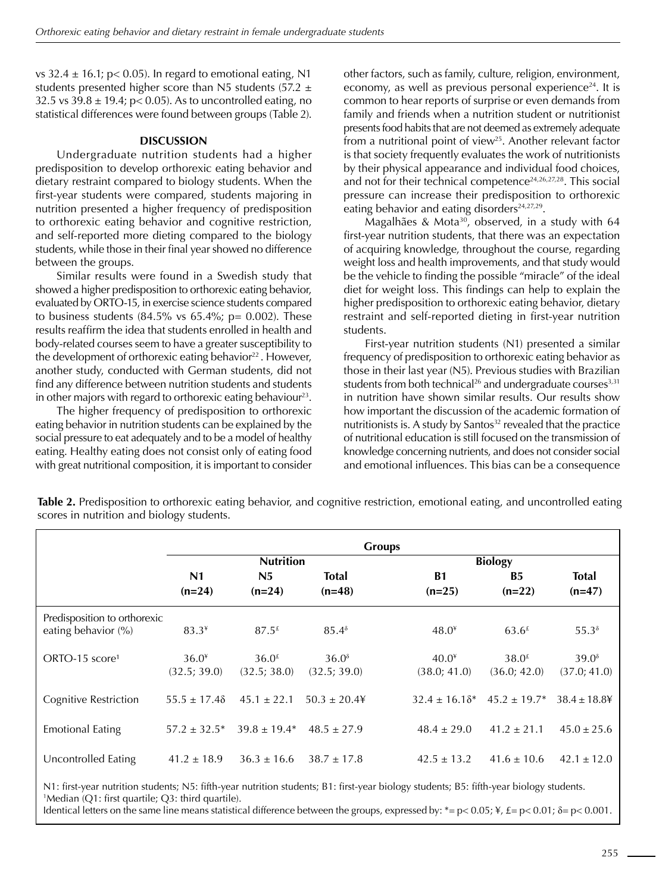vs  $32.4 \pm 16.1$ ; p< 0.05). In regard to emotional eating, N1 students presented higher score than N5 students (57.2  $\pm$ 32.5 vs  $39.8 \pm 19.4$ ; p< 0.05). As to uncontrolled eating, no statistical differences were found between groups (Table 2).

#### **DISCUSSION**

Undergraduate nutrition students had a higher predisposition to develop orthorexic eating behavior and dietary restraint compared to biology students. When the first-year students were compared, students majoring in nutrition presented a higher frequency of predisposition to orthorexic eating behavior and cognitive restriction, and self-reported more dieting compared to the biology students, while those in their final year showed no difference between the groups.

Similar results were found in a Swedish study that showed a higher predisposition to orthorexic eating behavior, evaluated by ORTO-15, in exercise science students compared to business students  $(84.5\% \text{ vs } 65.4\%; \text{ p} = 0.002)$ . These results reaffirm the idea that students enrolled in health and body-related courses seem to have a greater susceptibility to the development of orthorexic eating behavior<sup>22</sup>. However, another study, conducted with German students, did not find any difference between nutrition students and students in other majors with regard to orthorexic eating behaviour<sup>23</sup>.

The higher frequency of predisposition to orthorexic eating behavior in nutrition students can be explained by the social pressure to eat adequately and to be a model of healthy eating. Healthy eating does not consist only of eating food with great nutritional composition, it is important to consider other factors, such as family, culture, religion, environment, economy, as well as previous personal experience<sup>24</sup>. It is common to hear reports of surprise or even demands from family and friends when a nutrition student or nutritionist presents food habits that are not deemed as extremely adequate from a nutritional point of view<sup>25</sup>. Another relevant factor is that society frequently evaluates the work of nutritionists by their physical appearance and individual food choices, and not for their technical competence<sup>24,26,27,28</sup>. This social pressure can increase their predisposition to orthorexic eating behavior and eating disorders $24,27,29$ .

Magalhães & Mota<sup>30</sup>, observed, in a study with 64 first-year nutrition students, that there was an expectation of acquiring knowledge, throughout the course, regarding weight loss and health improvements, and that study would be the vehicle to finding the possible "miracle" of the ideal diet for weight loss. This findings can help to explain the higher predisposition to orthorexic eating behavior, dietary restraint and self-reported dieting in first-year nutrition students.

First-year nutrition students (N1) presented a similar frequency of predisposition to orthorexic eating behavior as those in their last year (N5). Previous studies with Brazilian students from both technical<sup>26</sup> and undergraduate courses<sup>3,31</sup> in nutrition have shown similar results. Our results show how important the discussion of the academic formation of nutritionists is. A study by Santos $32$  revealed that the practice of nutritional education is still focused on the transmission of knowledge concerning nutrients, and does not consider social and emotional influences. This bias can be a consequence

|                              |                   | <b>Groups</b>     |                  |                         |                   |                   |  |  |  |
|------------------------------|-------------------|-------------------|------------------|-------------------------|-------------------|-------------------|--|--|--|
|                              |                   | <b>Nutrition</b>  |                  | <b>Biology</b>          |                   |                   |  |  |  |
|                              | N <sub>1</sub>    | N <sub>5</sub>    | Total            | <b>B1</b>               | <b>B5</b>         | Total             |  |  |  |
|                              | $(n=24)$          | $(n=24)$          | $(n=48)$         | $(n=25)$                | $(n=22)$          | $(n=47)$          |  |  |  |
| Predisposition to orthorexic |                   |                   |                  |                         |                   |                   |  |  |  |
| eating behavior (%)          | $83.3*$           | 87.5 <sup>f</sup> | $85.4^{\delta}$  | $48.0*$                 | 63.6 <sup>£</sup> | $55.3^{\delta}$   |  |  |  |
| ORTO-15 score <sup>1</sup>   | $36.0*$           | $36.0^{\text{f}}$ | $36.0^{\circ}$   | $40.0*$                 | 38.0 <sup>£</sup> | $39.0^8$          |  |  |  |
|                              | (32.5; 39.0)      | (32.5; 38.0)      | (32.5; 39.0)     | (38.0; 41.0)            | (36.0; 42.0)      | (37.0; 41.0)      |  |  |  |
|                              |                   |                   |                  |                         |                   |                   |  |  |  |
| Cognitive Restriction        | $55.5 \pm 17.48$  | $45.1 \pm 22.1$   | $50.3 \pm 20.44$ | $32.4 \pm 16.1\delta^*$ | $45.2 \pm 19.7^*$ | $38.4 \pm 18.8$ ¥ |  |  |  |
|                              |                   |                   |                  |                         |                   |                   |  |  |  |
| <b>Emotional Eating</b>      | $57.2 \pm 32.5^*$ | $39.8 \pm 19.4^*$ | $48.5 \pm 27.9$  | $48.4 \pm 29.0$         | $41.2 \pm 21.1$   | $45.0 \pm 25.6$   |  |  |  |
|                              |                   |                   |                  |                         |                   |                   |  |  |  |
| Uncontrolled Eating          | $41.2 \pm 18.9$   | $36.3 \pm 16.6$   | $38.7 \pm 17.8$  | $42.5 \pm 13.2$         | $41.6 \pm 10.6$   | $42.1 \pm 12.0$   |  |  |  |

**Table 2.** Predisposition to orthorexic eating behavior, and cognitive restriction, emotional eating, and uncontrolled eating scores in nutrition and biology students.

N1: first-year nutrition students; N5: fifth-year nutrition students; B1: first-year biology students; B5: fifth-year biology students. 1 Median (Q1: first quartile; Q3: third quartile). Identical letters on the same line means statistical difference between the groups, expressed by: \*= p< 0.05; ¥, £= p< 0.01; δ= p< 0.001.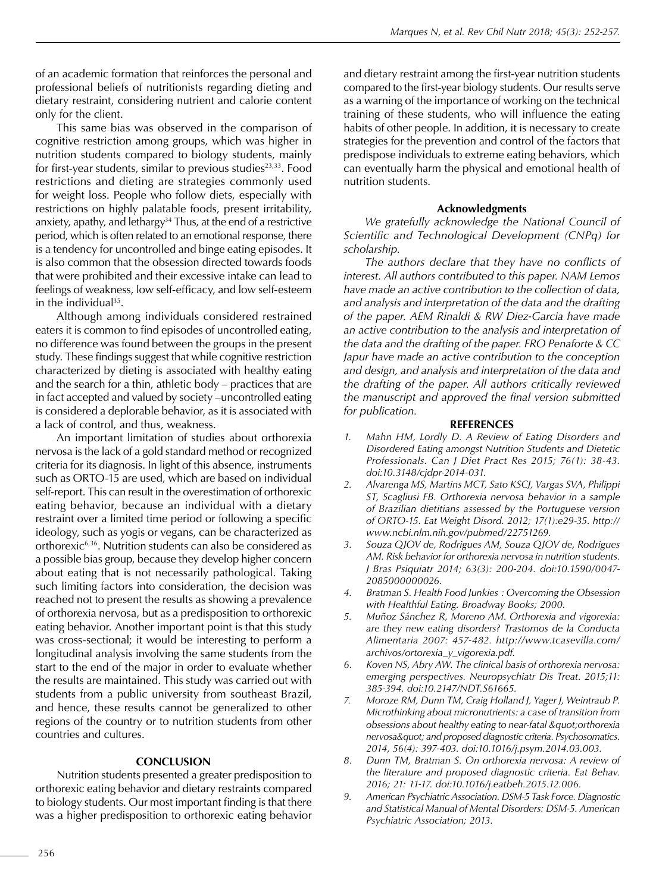of an academic formation that reinforces the personal and professional beliefs of nutritionists regarding dieting and dietary restraint, considering nutrient and calorie content only for the client.

This same bias was observed in the comparison of cognitive restriction among groups, which was higher in nutrition students compared to biology students, mainly for first-year students, similar to previous studies $23,33$ . Food restrictions and dieting are strategies commonly used for weight loss. People who follow diets, especially with restrictions on highly palatable foods, present irritability, anxiety, apathy, and lethargy<sup>34</sup> Thus, at the end of a restrictive period, which is often related to an emotional response, there is a tendency for uncontrolled and binge eating episodes. It is also common that the obsession directed towards foods that were prohibited and their excessive intake can lead to feelings of weakness, low self-efficacy, and low self-esteem in the individual $35$ .

Although among individuals considered restrained eaters it is common to find episodes of uncontrolled eating, no difference was found between the groups in the present study. These findings suggest that while cognitive restriction characterized by dieting is associated with healthy eating and the search for a thin, athletic body – practices that are in fact accepted and valued by society –uncontrolled eating is considered a deplorable behavior, as it is associated with a lack of control, and thus, weakness.

An important limitation of studies about orthorexia nervosa is the lack of a gold standard method or recognized criteria for its diagnosis. In light of this absence, instruments such as ORTO-15 are used, which are based on individual self-report. This can result in the overestimation of orthorexic eating behavior, because an individual with a dietary restraint over a limited time period or following a specific ideology, such as yogis or vegans, can be characterized as orthorexic6,36. Nutrition students can also be considered as a possible bias group, because they develop higher concern about eating that is not necessarily pathological. Taking such limiting factors into consideration, the decision was reached not to present the results as showing a prevalence of orthorexia nervosa, but as a predisposition to orthorexic eating behavior. Another important point is that this study was cross-sectional; it would be interesting to perform a longitudinal analysis involving the same students from the start to the end of the major in order to evaluate whether the results are maintained. This study was carried out with students from a public university from southeast Brazil, and hence, these results cannot be generalized to other regions of the country or to nutrition students from other countries and cultures.

#### **CONCLUSION**

Nutrition students presented a greater predisposition to orthorexic eating behavior and dietary restraints compared to biology students. Our most important finding is that there was a higher predisposition to orthorexic eating behavior

and dietary restraint among the first-year nutrition students compared to the first-year biology students. Our results serve as a warning of the importance of working on the technical training of these students, who will influence the eating habits of other people. In addition, it is necessary to create strategies for the prevention and control of the factors that predispose individuals to extreme eating behaviors, which can eventually harm the physical and emotional health of nutrition students.

#### **Acknowledgments**

*We gratefully acknowledge the National Council of Scientific and Technological Development (CNPq) for scholarship.*

*The authors declare that they have no conflicts of interest. All authors contributed to this paper. NAM Lemos have made an active contribution to the collection of data, and analysis and interpretation of the data and the drafting of the paper. AEM Rinaldi & RW Diez-Garcia have made an active contribution to the analysis and interpretation of the data and the drafting of the paper. FRO Penaforte & CC Japur have made an active contribution to the conception and design, and analysis and interpretation of the data and the drafting of the paper. All authors critically reviewed the manuscript and approved the final version submitted for publication.*

#### **REFERENCES**

- *1. Mahn HM, Lordly D. A Review of Eating Disorders and Disordered Eating amongst Nutrition Students and Dietetic Professionals. Can J Diet Pract Res 2015; 76(1): 38-43. doi:10.3148/cjdpr-2014-031.*
- *2. Alvarenga MS, Martins MCT, Sato KSCJ, Vargas SVA, Philippi ST, Scagliusi FB. Orthorexia nervosa behavior in a sample of Brazilian dietitians assessed by the Portuguese version of ORTO-15. Eat Weight Disord. 2012; 17(1):e29-35. http:// www.ncbi.nlm.nih.gov/pubmed/22751269.*
- *3. Souza QJOV de, Rodrigues AM, Souza QJOV de, Rodrigues AM. Risk behavior for orthorexia nervosa in nutrition students. J Bras Psiquiatr 2014; 63(3): 200-204. doi:10.1590/0047- 2085000000026.*
- *4. Bratman S. Health Food Junkies : Overcoming the Obsession with Healthful Eating. Broadway Books; 2000.*
- *5. Muñoz Sánchez R, Moreno AM. Orthorexia and vigorexia: are they new eating disorders? Trastornos de la Conducta Alimentaria 2007: 457-482. http://www.tcasevilla.com/ archivos/ortorexia\_y\_vigorexia.pdf.*
- *6. Koven NS, Abry AW. The clinical basis of orthorexia nervosa: emerging perspectives. Neuropsychiatr Dis Treat. 2015;11: 385-394. doi:10.2147/NDT.S61665.*
- *7. Moroze RM, Dunn TM, Craig Holland J, Yager J, Weintraub P. Microthinking about micronutrients: a case of transition from obsessions about healthy eating to near-fatal " orthorexia nervosa" and proposed diagnostic criteria. Psychosomatics. 2014, 56(4): 397-403. doi:10.1016/j.psym.2014.03.003.*
- *8. Dunn TM, Bratman S. On orthorexia nervosa: A review of the literature and proposed diagnostic criteria. Eat Behav. 2016; 21: 11-17. doi:10.1016/j.eatbeh.2015.12.006.*
- *9. American Psychiatric Association. DSM-5 Task Force. Diagnostic and Statistical Manual of Mental Disorders: DSM-5. American Psychiatric Association; 2013.*